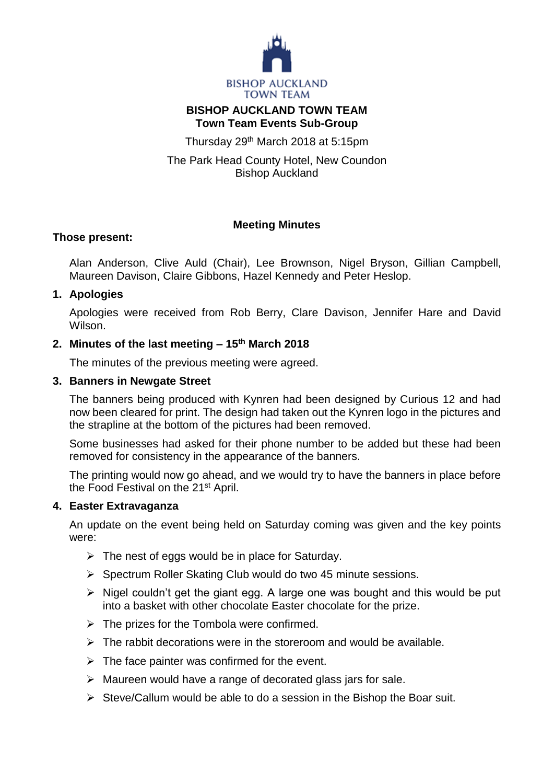

## **BISHOP AUCKLAND TOWN TEAM Town Team Events Sub-Group**

Thursday 29th March 2018 at 5:15pm

The Park Head County Hotel, New Coundon Bishop Auckland

# **Meeting Minutes**

#### **Those present:**

Alan Anderson, Clive Auld (Chair), Lee Brownson, Nigel Bryson, Gillian Campbell, Maureen Davison, Claire Gibbons, Hazel Kennedy and Peter Heslop.

# **1. Apologies**

Apologies were received from Rob Berry, Clare Davison, Jennifer Hare and David Wilson.

# **2. Minutes of the last meeting – 15th March 2018**

The minutes of the previous meeting were agreed.

#### **3. Banners in Newgate Street**

The banners being produced with Kynren had been designed by Curious 12 and had now been cleared for print. The design had taken out the Kynren logo in the pictures and the strapline at the bottom of the pictures had been removed.

Some businesses had asked for their phone number to be added but these had been removed for consistency in the appearance of the banners.

The printing would now go ahead, and we would try to have the banners in place before the Food Festival on the 21st April.

# **4. Easter Extravaganza**

An update on the event being held on Saturday coming was given and the key points were:

- $\triangleright$  The nest of eggs would be in place for Saturday.
- $\triangleright$  Spectrum Roller Skating Club would do two 45 minute sessions.
- $\triangleright$  Nigel couldn't get the giant egg. A large one was bought and this would be put into a basket with other chocolate Easter chocolate for the prize.
- $\triangleright$  The prizes for the Tombola were confirmed.
- $\triangleright$  The rabbit decorations were in the storeroom and would be available.
- $\triangleright$  The face painter was confirmed for the event.
- $\triangleright$  Maureen would have a range of decorated glass jars for sale.
- $\triangleright$  Steve/Callum would be able to do a session in the Bishop the Boar suit.